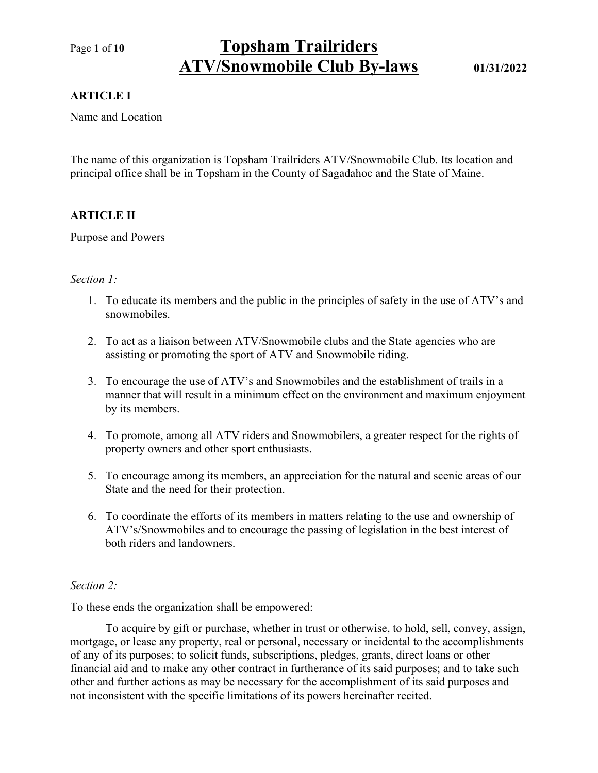# Page 1 of 10 Topsham Trailriders ATV/Snowmobile Club By-laws 01/31/2022

## ARTICLE I

Name and Location

The name of this organization is Topsham Trailriders ATV/Snowmobile Club. Its location and principal office shall be in Topsham in the County of Sagadahoc and the State of Maine.

## ARTICLE II

Purpose and Powers

## Section 1:

- 1. To educate its members and the public in the principles of safety in the use of ATV's and snowmobiles.
- 2. To act as a liaison between ATV/Snowmobile clubs and the State agencies who are assisting or promoting the sport of ATV and Snowmobile riding.
- 3. To encourage the use of ATV's and Snowmobiles and the establishment of trails in a manner that will result in a minimum effect on the environment and maximum enjoyment by its members.
- 4. To promote, among all ATV riders and Snowmobilers, a greater respect for the rights of property owners and other sport enthusiasts.
- 5. To encourage among its members, an appreciation for the natural and scenic areas of our State and the need for their protection.
- 6. To coordinate the efforts of its members in matters relating to the use and ownership of ATV's/Snowmobiles and to encourage the passing of legislation in the best interest of both riders and landowners.

## Section 2:

To these ends the organization shall be empowered:

To acquire by gift or purchase, whether in trust or otherwise, to hold, sell, convey, assign, mortgage, or lease any property, real or personal, necessary or incidental to the accomplishments of any of its purposes; to solicit funds, subscriptions, pledges, grants, direct loans or other financial aid and to make any other contract in furtherance of its said purposes; and to take such other and further actions as may be necessary for the accomplishment of its said purposes and not inconsistent with the specific limitations of its powers hereinafter recited.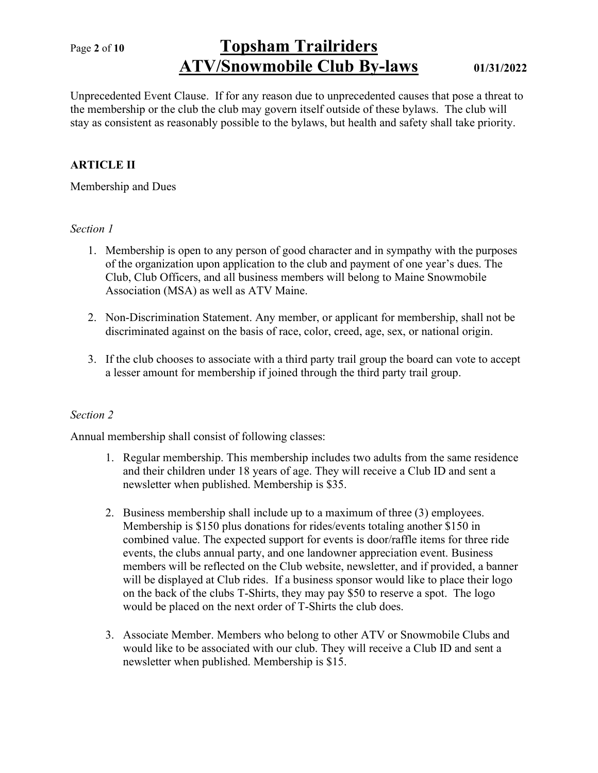# Page 2 of 10 Topsham Trailriders ATV/Snowmobile Club By-laws 01/31/2022

Unprecedented Event Clause. If for any reason due to unprecedented causes that pose a threat to the membership or the club the club may govern itself outside of these bylaws. The club will stay as consistent as reasonably possible to the bylaws, but health and safety shall take priority.

# ARTICLE II

Membership and Dues

## Section 1

- 1. Membership is open to any person of good character and in sympathy with the purposes of the organization upon application to the club and payment of one year's dues. The Club, Club Officers, and all business members will belong to Maine Snowmobile Association (MSA) as well as ATV Maine.
- 2. Non-Discrimination Statement. Any member, or applicant for membership, shall not be discriminated against on the basis of race, color, creed, age, sex, or national origin.
- 3. If the club chooses to associate with a third party trail group the board can vote to accept a lesser amount for membership if joined through the third party trail group.

# Section 2

Annual membership shall consist of following classes:

- 1. Regular membership. This membership includes two adults from the same residence and their children under 18 years of age. They will receive a Club ID and sent a newsletter when published. Membership is \$35.
- 2. Business membership shall include up to a maximum of three (3) employees. Membership is \$150 plus donations for rides/events totaling another \$150 in combined value. The expected support for events is door/raffle items for three ride events, the clubs annual party, and one landowner appreciation event. Business members will be reflected on the Club website, newsletter, and if provided, a banner will be displayed at Club rides. If a business sponsor would like to place their logo on the back of the clubs T-Shirts, they may pay \$50 to reserve a spot. The logo would be placed on the next order of T-Shirts the club does.
- 3. Associate Member. Members who belong to other ATV or Snowmobile Clubs and would like to be associated with our club. They will receive a Club ID and sent a newsletter when published. Membership is \$15.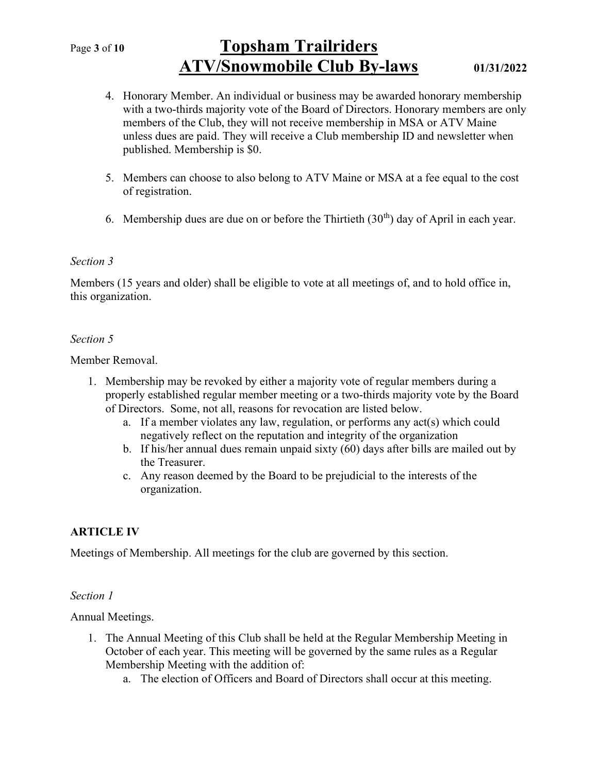# Page 3 of 10 Topsham Trailriders ATV/Snowmobile Club By-laws 01/31/2022

- 4. Honorary Member. An individual or business may be awarded honorary membership with a two-thirds majority vote of the Board of Directors. Honorary members are only members of the Club, they will not receive membership in MSA or ATV Maine unless dues are paid. They will receive a Club membership ID and newsletter when published. Membership is \$0.
- 5. Members can choose to also belong to ATV Maine or MSA at a fee equal to the cost of registration.
- 6. Membership dues are due on or before the Thirtieth  $(30<sup>th</sup>)$  day of April in each year.

### Section 3

Members (15 years and older) shall be eligible to vote at all meetings of, and to hold office in, this organization.

### Section 5

Member Removal.

- 1. Membership may be revoked by either a majority vote of regular members during a properly established regular member meeting or a two-thirds majority vote by the Board of Directors. Some, not all, reasons for revocation are listed below.
	- a. If a member violates any law, regulation, or performs any act(s) which could negatively reflect on the reputation and integrity of the organization
	- b. If his/her annual dues remain unpaid sixty (60) days after bills are mailed out by the Treasurer.
	- c. Any reason deemed by the Board to be prejudicial to the interests of the organization.

## ARTICLE IV

Meetings of Membership. All meetings for the club are governed by this section.

#### Section 1

Annual Meetings.

- 1. The Annual Meeting of this Club shall be held at the Regular Membership Meeting in October of each year. This meeting will be governed by the same rules as a Regular Membership Meeting with the addition of:
	- a. The election of Officers and Board of Directors shall occur at this meeting.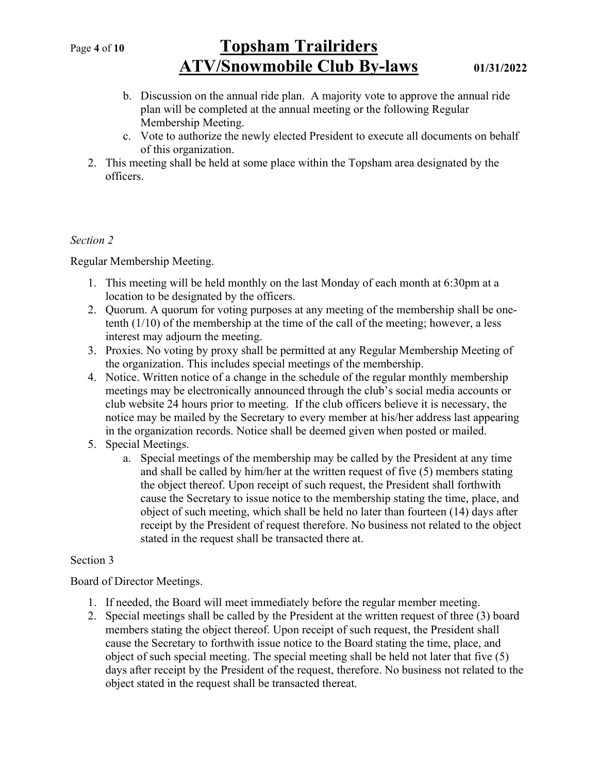# Page 4 of 10 Topsham Trailriders ATV/Snowmobile Club By-laws 01/31/2022

- b. Discussion on the annual ride plan. A majority vote to approve the annual ride plan will be completed at the annual meeting or the following Regular Membership Meeting.
- c. Vote to authorize the newly elected President to execute all documents on behalf of this organization.
- 2. This meeting shall be held at some place within the Topsham area designated by the officers.

# Section 2

Regular Membership Meeting.

- 1. This meeting will be held monthly on the last Monday of each month at 6:30pm at a location to be designated by the officers.
- 2. Quorum. A quorum for voting purposes at any meeting of the membership shall be onetenth (1/10) of the membership at the time of the call of the meeting; however, a less interest may adjourn the meeting.
- 3. Proxies. No voting by proxy shall be permitted at any Regular Membership Meeting of the organization. This includes special meetings of the membership.
- 4. Notice. Written notice of a change in the schedule of the regular monthly membership meetings may be electronically announced through the club's social media accounts or club website 24 hours prior to meeting. If the club officers believe it is necessary, the notice may be mailed by the Secretary to every member at his/her address last appearing in the organization records. Notice shall be deemed given when posted or mailed.
- 5. Special Meetings.
	- a. Special meetings of the membership may be called by the President at any time and shall be called by him/her at the written request of five (5) members stating the object thereof. Upon receipt of such request, the President shall forthwith cause the Secretary to issue notice to the membership stating the time, place, and object of such meeting, which shall be held no later than fourteen (14) days after receipt by the President of request therefore. No business not related to the object stated in the request shall be transacted there at.

## Section 3

Board of Director Meetings.

- 1. If needed, the Board will meet immediately before the regular member meeting.
- 2. Special meetings shall be called by the President at the written request of three (3) board members stating the object thereof. Upon receipt of such request, the President shall cause the Secretary to forthwith issue notice to the Board stating the time, place, and object of such special meeting. The special meeting shall be held not later that five (5) days after receipt by the President of the request, therefore. No business not related to the object stated in the request shall be transacted thereat.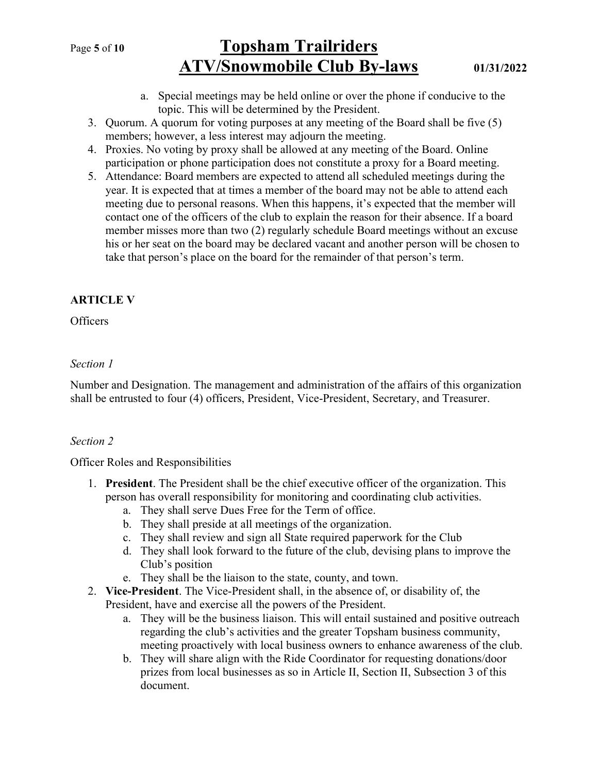# Page 5 of 10 Topsham Trailriders ATV/Snowmobile Club By-laws 01/31/2022

- a. Special meetings may be held online or over the phone if conducive to the topic. This will be determined by the President.
- 3. Quorum. A quorum for voting purposes at any meeting of the Board shall be five (5) members; however, a less interest may adjourn the meeting.
- 4. Proxies. No voting by proxy shall be allowed at any meeting of the Board. Online participation or phone participation does not constitute a proxy for a Board meeting.
- 5. Attendance: Board members are expected to attend all scheduled meetings during the year. It is expected that at times a member of the board may not be able to attend each meeting due to personal reasons. When this happens, it's expected that the member will contact one of the officers of the club to explain the reason for their absence. If a board member misses more than two (2) regularly schedule Board meetings without an excuse his or her seat on the board may be declared vacant and another person will be chosen to take that person's place on the board for the remainder of that person's term.

# ARTICLE V

## **Officers**

## Section 1

Number and Designation. The management and administration of the affairs of this organization shall be entrusted to four (4) officers, President, Vice-President, Secretary, and Treasurer.

# Section 2

Officer Roles and Responsibilities

- 1. President. The President shall be the chief executive officer of the organization. This person has overall responsibility for monitoring and coordinating club activities.
	- a. They shall serve Dues Free for the Term of office.
	- b. They shall preside at all meetings of the organization.
	- c. They shall review and sign all State required paperwork for the Club
	- d. They shall look forward to the future of the club, devising plans to improve the Club's position
	- e. They shall be the liaison to the state, county, and town.
- 2. Vice-President. The Vice-President shall, in the absence of, or disability of, the President, have and exercise all the powers of the President.
	- a. They will be the business liaison. This will entail sustained and positive outreach regarding the club's activities and the greater Topsham business community, meeting proactively with local business owners to enhance awareness of the club.
	- b. They will share align with the Ride Coordinator for requesting donations/door prizes from local businesses as so in Article II, Section II, Subsection 3 of this document.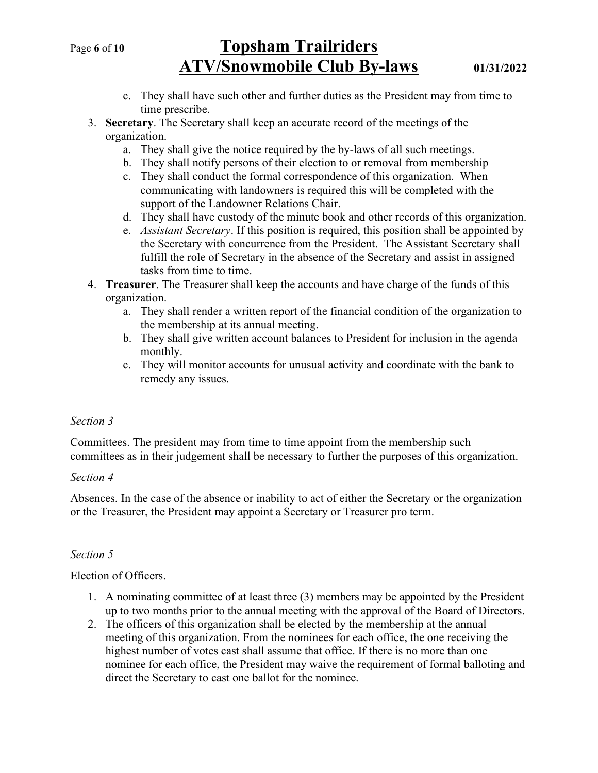# Page 6 of 10 Topsham Trailriders ATV/Snowmobile Club By-laws 01/31/2022

- c. They shall have such other and further duties as the President may from time to time prescribe.
- 3. Secretary. The Secretary shall keep an accurate record of the meetings of the organization.
	- a. They shall give the notice required by the by-laws of all such meetings.
	- b. They shall notify persons of their election to or removal from membership
	- c. They shall conduct the formal correspondence of this organization. When communicating with landowners is required this will be completed with the support of the Landowner Relations Chair.
	- d. They shall have custody of the minute book and other records of this organization.
	- e. *Assistant Secretary*. If this position is required, this position shall be appointed by the Secretary with concurrence from the President. The Assistant Secretary shall fulfill the role of Secretary in the absence of the Secretary and assist in assigned tasks from time to time.
- 4. **Treasurer**. The Treasurer shall keep the accounts and have charge of the funds of this organization.
	- a. They shall render a written report of the financial condition of the organization to the membership at its annual meeting.
	- b. They shall give written account balances to President for inclusion in the agenda monthly.
	- c. They will monitor accounts for unusual activity and coordinate with the bank to remedy any issues.

## Section 3

Committees. The president may from time to time appoint from the membership such committees as in their judgement shall be necessary to further the purposes of this organization.

#### Section 4

Absences. In the case of the absence or inability to act of either the Secretary or the organization or the Treasurer, the President may appoint a Secretary or Treasurer pro term.

## Section 5

Election of Officers.

- 1. A nominating committee of at least three (3) members may be appointed by the President up to two months prior to the annual meeting with the approval of the Board of Directors.
- 2. The officers of this organization shall be elected by the membership at the annual meeting of this organization. From the nominees for each office, the one receiving the highest number of votes cast shall assume that office. If there is no more than one nominee for each office, the President may waive the requirement of formal balloting and direct the Secretary to cast one ballot for the nominee.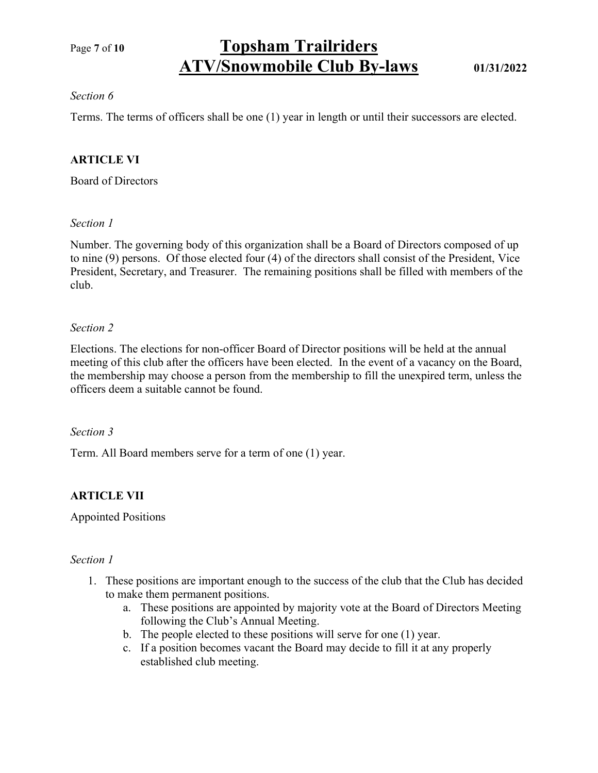# Page 7 of 10 Topsham Trailriders ATV/Snowmobile Club By-laws 01/31/2022

## Section 6

Terms. The terms of officers shall be one (1) year in length or until their successors are elected.

## ARTICLE VI

Board of Directors

## Section 1

Number. The governing body of this organization shall be a Board of Directors composed of up to nine (9) persons. Of those elected four (4) of the directors shall consist of the President, Vice President, Secretary, and Treasurer. The remaining positions shall be filled with members of the club.

## Section 2

Elections. The elections for non-officer Board of Director positions will be held at the annual meeting of this club after the officers have been elected. In the event of a vacancy on the Board, the membership may choose a person from the membership to fill the unexpired term, unless the officers deem a suitable cannot be found.

### Section 3

Term. All Board members serve for a term of one (1) year.

# ARTICLE VII

Appointed Positions

#### Section 1

- 1. These positions are important enough to the success of the club that the Club has decided to make them permanent positions.
	- a. These positions are appointed by majority vote at the Board of Directors Meeting following the Club's Annual Meeting.
	- b. The people elected to these positions will serve for one (1) year.
	- c. If a position becomes vacant the Board may decide to fill it at any properly established club meeting.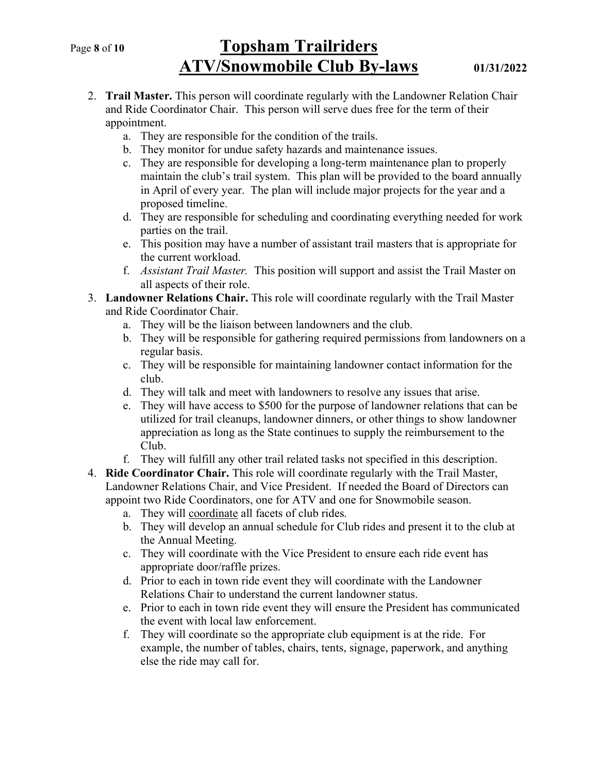# Page 8 of 10 Topsham Trailriders ATV/Snowmobile Club By-laws 01/31/2022

- 2. Trail Master. This person will coordinate regularly with the Landowner Relation Chair and Ride Coordinator Chair. This person will serve dues free for the term of their appointment.
	- a. They are responsible for the condition of the trails.
	- b. They monitor for undue safety hazards and maintenance issues.
	- c. They are responsible for developing a long-term maintenance plan to properly maintain the club's trail system. This plan will be provided to the board annually in April of every year. The plan will include major projects for the year and a proposed timeline.
	- d. They are responsible for scheduling and coordinating everything needed for work parties on the trail.
	- e. This position may have a number of assistant trail masters that is appropriate for the current workload.
	- f. Assistant Trail Master. This position will support and assist the Trail Master on all aspects of their role.
- 3. Landowner Relations Chair. This role will coordinate regularly with the Trail Master and Ride Coordinator Chair.
	- a. They will be the liaison between landowners and the club.
	- b. They will be responsible for gathering required permissions from landowners on a regular basis.
	- c. They will be responsible for maintaining landowner contact information for the club.
	- d. They will talk and meet with landowners to resolve any issues that arise.
	- e. They will have access to \$500 for the purpose of landowner relations that can be utilized for trail cleanups, landowner dinners, or other things to show landowner appreciation as long as the State continues to supply the reimbursement to the Club.
	- f. They will fulfill any other trail related tasks not specified in this description.
- 4. Ride Coordinator Chair. This role will coordinate regularly with the Trail Master, Landowner Relations Chair, and Vice President. If needed the Board of Directors can appoint two Ride Coordinators, one for ATV and one for Snowmobile season.
	- a. They will coordinate all facets of club rides.
	- b. They will develop an annual schedule for Club rides and present it to the club at the Annual Meeting.
	- c. They will coordinate with the Vice President to ensure each ride event has appropriate door/raffle prizes.
	- d. Prior to each in town ride event they will coordinate with the Landowner Relations Chair to understand the current landowner status.
	- e. Prior to each in town ride event they will ensure the President has communicated the event with local law enforcement.
	- f. They will coordinate so the appropriate club equipment is at the ride. For example, the number of tables, chairs, tents, signage, paperwork, and anything else the ride may call for.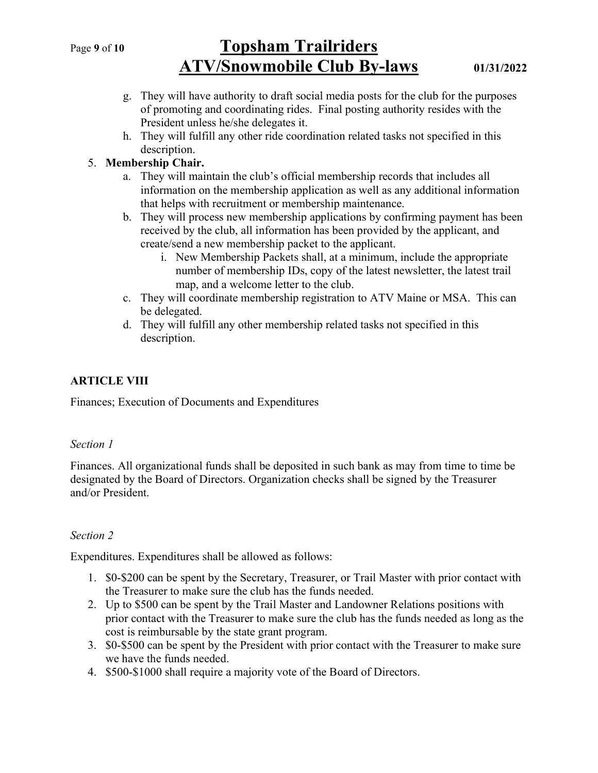# Page 9 of 10 Topsham Trailriders ATV/Snowmobile Club By-laws 01/31/2022

- g. They will have authority to draft social media posts for the club for the purposes of promoting and coordinating rides. Final posting authority resides with the President unless he/she delegates it.
- h. They will fulfill any other ride coordination related tasks not specified in this description.

## 5. Membership Chair.

- a. They will maintain the club's official membership records that includes all information on the membership application as well as any additional information that helps with recruitment or membership maintenance.
- b. They will process new membership applications by confirming payment has been received by the club, all information has been provided by the applicant, and create/send a new membership packet to the applicant.
	- i. New Membership Packets shall, at a minimum, include the appropriate number of membership IDs, copy of the latest newsletter, the latest trail map, and a welcome letter to the club.
- c. They will coordinate membership registration to ATV Maine or MSA. This can be delegated.
- d. They will fulfill any other membership related tasks not specified in this description.

# ARTICLE VIII

Finances; Execution of Documents and Expenditures

## Section 1

Finances. All organizational funds shall be deposited in such bank as may from time to time be designated by the Board of Directors. Organization checks shall be signed by the Treasurer and/or President.

## Section 2

Expenditures. Expenditures shall be allowed as follows:

- 1. \$0-\$200 can be spent by the Secretary, Treasurer, or Trail Master with prior contact with the Treasurer to make sure the club has the funds needed.
- 2. Up to \$500 can be spent by the Trail Master and Landowner Relations positions with prior contact with the Treasurer to make sure the club has the funds needed as long as the cost is reimbursable by the state grant program.
- 3. \$0-\$500 can be spent by the President with prior contact with the Treasurer to make sure we have the funds needed.
- 4. \$500-\$1000 shall require a majority vote of the Board of Directors.